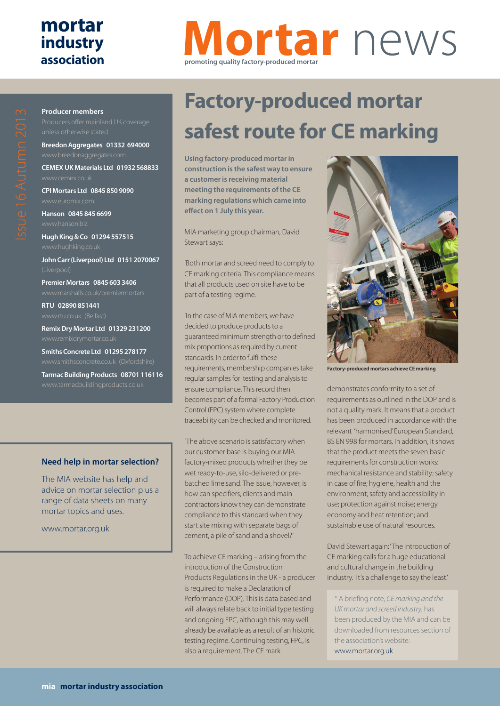## **mortar industry association**

**Producer members**

## **Mortar** news **promoting quality factory-produced mortar**

**CPI Mortars Ltd 0845 850 9090**

**Breedon Aggregates 01332 694000**

**CEMEX UK Materials Ltd 01932 568833**

**Hanson 0845 845 6699**

**Hugh King & Co 01294 557515**

**John Carr (Liverpool) Ltd 0151 2070067**

**Premier Mortars 0845 603 3406**

**RTU 02890 851441**

**Remix Dry Mortar Ltd 01329 231200**

**Smiths Concrete Ltd 01295 278177**

**Tarmac Building Products 08701 116116**

### **Need help in mortar selection?**

The MIA website has help and advice on mortar selection plus a range of data sheets on many mortar topics and uses.

www.mortar.org.uk

# **Factory-produced mortar safest route for CE marking**

**Using factory-produced mortar in construction is the safest way to ensure a customer is receiving material meeting the requirements of the CE marking regulations which came into effect on 1 July this year.** 

MIA marketing group chairman, David Stewart says:

'Both mortar and screed need to comply to CE marking criteria. This compliance means that all products used on site have to be part of a testing regime.

'In the case of MIA members, we have decided to produce products to a guaranteed minimum strength or to defined mix proportions as required by current standards. In order to fulfil these requirements, membership companies take regular samples for testing and analysis to ensure compliance. This record then becomes part of a formal Factory Production Control (FPC) system where complete traceability can be checked and monitored.

'The above scenario is satisfactory when our customer base is buying our MIA factory-mixed products whether they be wet ready-to-use, silo-delivered or prebatched lime:sand. The issue, however, is how can specifiers, clients and main contractors know they can demonstrate compliance to this standard when they start site mixing with separate bags of cement, a pile of sand and a shovel?'

To achieve CE marking – arising from the introduction of the Construction Products Regulations in the UK - a producer is required to make a Declaration of Performance (DOP). This is data based and will always relate back to initial type testing and ongoing FPC, although this may well already be available as a result of an historic testing regime. Continuing testing, FPC, is also a requirement. The CE mark



**Factory-produced mortars achieve CE marking**

demonstrates conformity to a set of requirements as outlined in the DOP and is not a quality mark. It means that a product has been produced in accordance with the relevant 'harmonised'European Standard, BS EN 998 for mortars. In addition, it shows that the product meets the seven basic requirements for construction works: mechanical resistance and stability; safety in case of fire; hygiene, health and the environment; safety and accessibility in use; protection against noise; energy economy and heat retention; and sustainable use of natural resources.

David Stewart again: 'The introduction of CE marking calls for a huge educational and cultural change in the building industry. It's a challenge to say the least.'

\* A briefing note, CE marking and the UK mortar and screed industry, has been produced by the MIA and can be downloaded from resources section of the association's website: www.mortar.org.uk